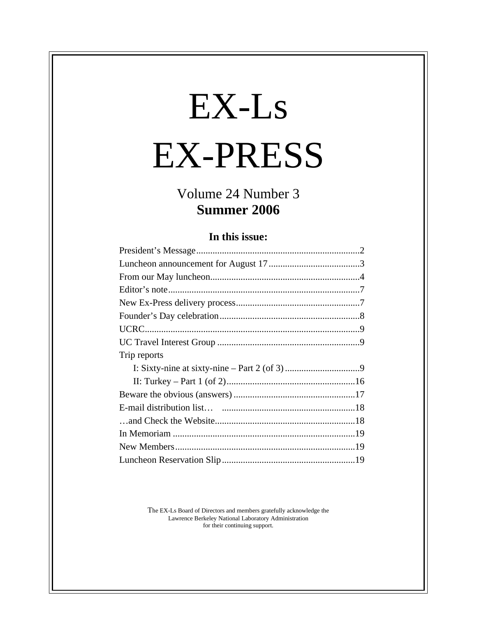# EX-Ls EX-PRESS

## Volume 24 Number 3 **Summer 2006**

#### **In this issue:**

| Trip reports |  |
|--------------|--|
|              |  |
|              |  |
|              |  |
|              |  |
|              |  |
|              |  |
|              |  |
|              |  |
|              |  |

The EX-Ls Board of Directors and members gratefully acknowledge the Lawrence Berkeley National Laboratory Administration for their continuing support.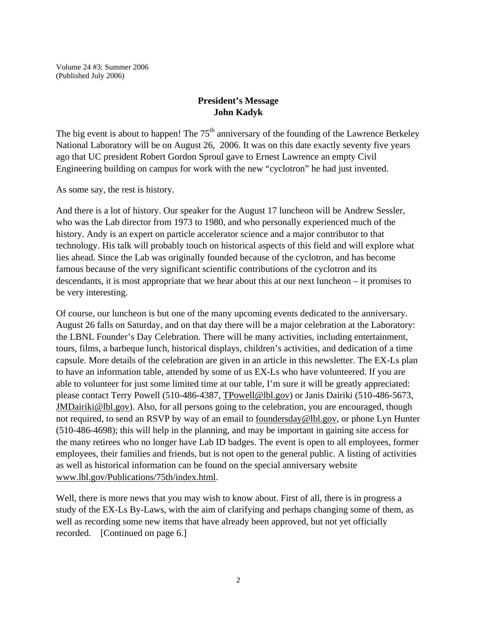Volume 24 #3: Summer 2006 (Published July 2006)

#### **President's Message John Kadyk**

The big event is about to happen! The  $75<sup>th</sup>$  anniversary of the founding of the Lawrence Berkeley National Laboratory will be on August 26, 2006. It was on this date exactly seventy five years ago that UC president Robert Gordon Sproul gave to Ernest Lawrence an empty Civil Engineering building on campus for work with the new "cyclotron" he had just invented.

As some say, the rest is history.

And there is a lot of history. Our speaker for the August 17 luncheon will be Andrew Sessler, who was the Lab director from 1973 to 1980, and who personally experienced much of the history. Andy is an expert on particle accelerator science and a major contributor to that technology. His talk will probably touch on historical aspects of this field and will explore what lies ahead. Since the Lab was originally founded because of the cyclotron, and has become famous because of the very significant scientific contributions of the cyclotron and its descendants, it is most appropriate that we hear about this at our next luncheon – it promises to be very interesting.

Of course, our luncheon is but one of the many upcoming events dedicated to the anniversary. August 26 falls on Saturday, and on that day there will be a major celebration at the Laboratory: the LBNL Founder's Day Celebration. There will be many activities, including entertainment, tours, films, a barbeque lunch, historical displays, children's activities, and dedication of a time capsule. More details of the celebration are given in an article in this newsletter. The EX-Ls plan to have an information table, attended by some of us EX-Ls who have volunteered. If you are able to volunteer for just some limited time at our table, I'm sure it will be greatly appreciated: please contact Terry Powell (510-486-4387, TPowell@lbl.gov) or Janis Dairiki (510-486-5673, JMDairiki@lbl.gov). Also, for all persons going to the celebration, you are encouraged, though not required, to send an RSVP by way of an email to <u>foundersday@lbl.gov</u>, or phone Lyn Hunter (510-486-4698); this will help in the planning, and may be important in gaining site access for the many retirees who no longer have Lab ID badges. The event is open to all employees, former employees, their families and friends, but is not open to the general public. A listing of activities as well as historical information can be found on the special anniversary website www.lbl.gov/Publications/75th/index.html.

Well, there is more news that you may wish to know about. First of all, there is in progress a study of the EX-Ls By-Laws, with the aim of clarifying and perhaps changing some of them, as well as recording some new items that have already been approved, but not yet officially recorded. [Continued on page 6.]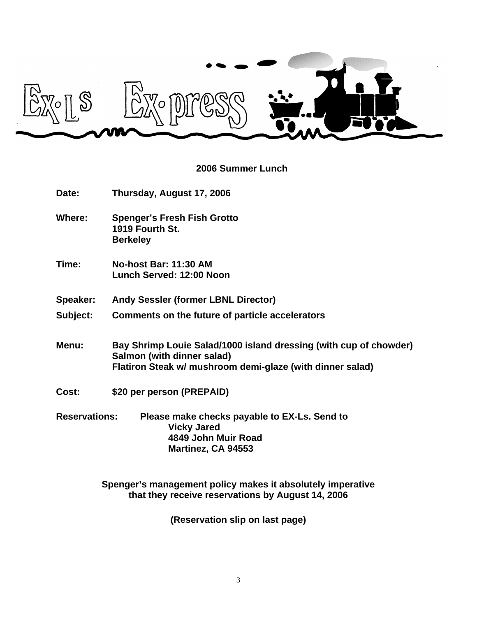

### **2006 Summer Lunch**

| Date:                | Thursday, August 17, 2006                                                                                                                                    |
|----------------------|--------------------------------------------------------------------------------------------------------------------------------------------------------------|
| Where:               | <b>Spenger's Fresh Fish Grotto</b><br>1919 Fourth St.<br><b>Berkeley</b>                                                                                     |
| Time:                | <b>No-host Bar: 11:30 AM</b><br>Lunch Served: 12:00 Noon                                                                                                     |
| Speaker:             | <b>Andy Sessler (former LBNL Director)</b>                                                                                                                   |
| Subject:             | Comments on the future of particle accelerators                                                                                                              |
| Menu:                | Bay Shrimp Louie Salad/1000 island dressing (with cup of chowder)<br>Salmon (with dinner salad)<br>Flatiron Steak w/ mushroom demi-glaze (with dinner salad) |
| Cost:                | \$20 per person (PREPAID)                                                                                                                                    |
| <b>Reservations:</b> | Please make checks payable to EX-Ls. Send to<br><b>Vicky Jared</b><br>4849 John Muir Road<br>Martinez, CA 94553                                              |

**Spenger's management policy makes it absolutely imperative that they receive reservations by August 14, 2006**

**(Reservation slip on last page)**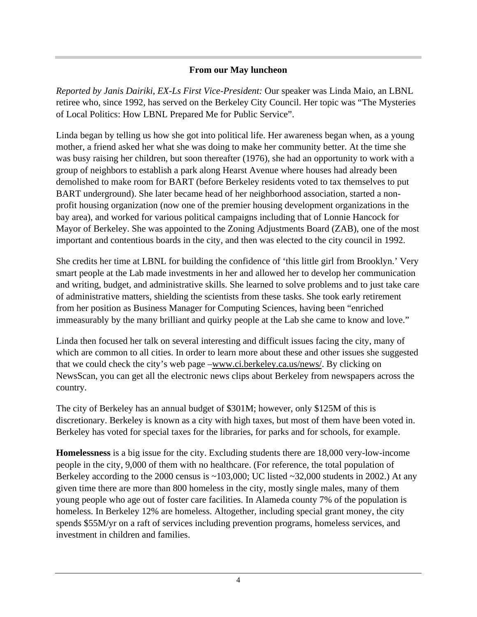#### **From our May luncheon**

*Reported by Janis Dairiki, EX-Ls First Vice-President:* Our speaker was Linda Maio, an LBNL retiree who, since 1992, has served on the Berkeley City Council. Her topic was "The Mysteries of Local Politics: How LBNL Prepared Me for Public Service".

Linda began by telling us how she got into political life. Her awareness began when, as a young mother, a friend asked her what she was doing to make her community better. At the time she was busy raising her children, but soon thereafter (1976), she had an opportunity to work with a group of neighbors to establish a park along Hearst Avenue where houses had already been demolished to make room for BART (before Berkeley residents voted to tax themselves to put BART underground). She later became head of her neighborhood association, started a nonprofit housing organization (now one of the premier housing development organizations in the bay area), and worked for various political campaigns including that of Lonnie Hancock for Mayor of Berkeley. She was appointed to the Zoning Adjustments Board (ZAB), one of the most important and contentious boards in the city, and then was elected to the city council in 1992.

She credits her time at LBNL for building the confidence of 'this little girl from Brooklyn.' Very smart people at the Lab made investments in her and allowed her to develop her communication and writing, budget, and administrative skills. She learned to solve problems and to just take care of administrative matters, shielding the scientists from these tasks. She took early retirement from her position as Business Manager for Computing Sciences, having been "enriched immeasurably by the many brilliant and quirky people at the Lab she came to know and love."

Linda then focused her talk on several interesting and difficult issues facing the city, many of which are common to all cities. In order to learn more about these and other issues she suggested that we could check the city's web page –www.ci.berkeley.ca.us/news/. By clicking on NewsScan, you can get all the electronic news clips about Berkeley from newspapers across the country.

The city of Berkeley has an annual budget of \$301M; however, only \$125M of this is discretionary. Berkeley is known as a city with high taxes, but most of them have been voted in. Berkeley has voted for special taxes for the libraries, for parks and for schools, for example.

**Homelessness** is a big issue for the city. Excluding students there are 18,000 very-low-income people in the city, 9,000 of them with no healthcare. (For reference, the total population of Berkeley according to the 2000 census is  $\sim$ 103,000; UC listed  $\sim$ 32,000 students in 2002.) At any given time there are more than 800 homeless in the city, mostly single males, many of them young people who age out of foster care facilities. In Alameda county 7% of the population is homeless. In Berkeley 12% are homeless. Altogether, including special grant money, the city spends \$55M/yr on a raft of services including prevention programs, homeless services, and investment in children and families.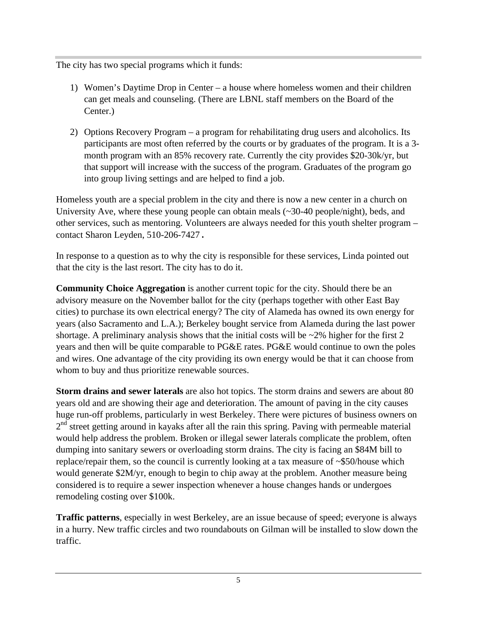The city has two special programs which it funds:

- 1) Women's Daytime Drop in Center a house where homeless women and their children can get meals and counseling. (There are LBNL staff members on the Board of the Center.)
- 2) Options Recovery Program a program for rehabilitating drug users and alcoholics. Its participants are most often referred by the courts or by graduates of the program. It is a 3 month program with an 85% recovery rate. Currently the city provides \$20-30k/yr, but that support will increase with the success of the program. Graduates of the program go into group living settings and are helped to find a job.

Homeless youth are a special problem in the city and there is now a new center in a church on University Ave, where these young people can obtain meals (~30-40 people/night), beds, and other services, such as mentoring. Volunteers are always needed for this youth shelter program – contact Sharon Leyden, 510-206-7427.

In response to a question as to why the city is responsible for these services, Linda pointed out that the city is the last resort. The city has to do it.

**Community Choice Aggregation** is another current topic for the city. Should there be an advisory measure on the November ballot for the city (perhaps together with other East Bay cities) to purchase its own electrical energy? The city of Alameda has owned its own energy for years (also Sacramento and L.A.); Berkeley bought service from Alameda during the last power shortage. A preliminary analysis shows that the initial costs will be  $\sim$ 2% higher for the first 2 years and then will be quite comparable to PG&E rates. PG&E would continue to own the poles and wires. One advantage of the city providing its own energy would be that it can choose from whom to buy and thus prioritize renewable sources.

**Storm drains and sewer laterals** are also hot topics. The storm drains and sewers are about 80 years old and are showing their age and deterioration. The amount of paving in the city causes huge run-off problems, particularly in west Berkeley. There were pictures of business owners on 2<sup>nd</sup> street getting around in kayaks after all the rain this spring. Paving with permeable material would help address the problem. Broken or illegal sewer laterals complicate the problem, often dumping into sanitary sewers or overloading storm drains. The city is facing an \$84M bill to replace/repair them, so the council is currently looking at a tax measure of ~\$50/house which would generate \$2M/yr, enough to begin to chip away at the problem. Another measure being considered is to require a sewer inspection whenever a house changes hands or undergoes remodeling costing over \$100k.

**Traffic patterns**, especially in west Berkeley, are an issue because of speed; everyone is always in a hurry. New traffic circles and two roundabouts on Gilman will be installed to slow down the traffic.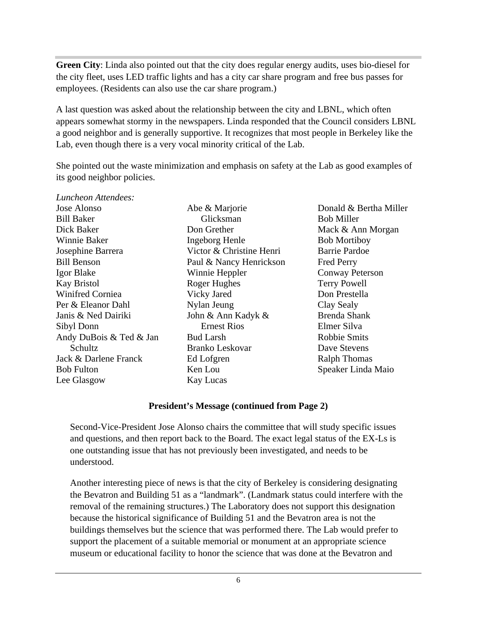**Green City**: Linda also pointed out that the city does regular energy audits, uses bio-diesel for the city fleet, uses LED traffic lights and has a city car share program and free bus passes for employees. (Residents can also use the car share program.)

A last question was asked about the relationship between the city and LBNL, which often appears somewhat stormy in the newspapers. Linda responded that the Council considers LBNL a good neighbor and is generally supportive. It recognizes that most people in Berkeley like the Lab, even though there is a very vocal minority critical of the Lab.

She pointed out the waste minimization and emphasis on safety at the Lab as good examples of its good neighbor policies.

| Luncheon Attendees:     |                          |
|-------------------------|--------------------------|
| Jose Alonso             | Abe & Marjorie           |
| <b>Bill Baker</b>       | Glicksman                |
| Dick Baker              | Don Grether              |
| Winnie Baker            | Ingeborg Henle           |
| Josephine Barrera       | Victor & Christine Henri |
| <b>Bill Benson</b>      | Paul & Nancy Henrickson  |
| Igor Blake              | Winnie Heppler           |
| <b>Kay Bristol</b>      | Roger Hughes             |
| Winifred Corniea        | Vicky Jared              |
| Per & Eleanor Dahl      | Nylan Jeung              |
| Janis & Ned Dairiki     | John & Ann Kadyk &       |
| Sibyl Donn              | <b>Ernest Rios</b>       |
| Andy DuBois & Ted & Jan | <b>Bud Larsh</b>         |
| Schultz                 | Branko Leskovar          |
| Jack & Darlene Franck   | Ed Lofgren               |
| <b>Bob Fulton</b>       | Ken Lou                  |
| Lee Glasgow             | Kay Lucas                |

Donald & Bertha Miller Bob Miller Mack & Ann Morgan Bob Mortiboy Barrie Pardoe Fred Perry Conway Peterson Terry Powell Don Prestella Clay Sealy Brenda Shank Elmer Silva Robbie Smits Dave Stevens Ralph Thomas Speaker Linda Maio

#### **President's Message (continued from Page 2)**

Second-Vice-President Jose Alonso chairs the committee that will study specific issues and questions, and then report back to the Board. The exact legal status of the EX-Ls is one outstanding issue that has not previously been investigated, and needs to be understood.

Another interesting piece of news is that the city of Berkeley is considering designating the Bevatron and Building 51 as a "landmark". (Landmark status could interfere with the removal of the remaining structures.) The Laboratory does not support this designation because the historical significance of Building 51 and the Bevatron area is not the buildings themselves but the science that was performed there. The Lab would prefer to support the placement of a suitable memorial or monument at an appropriate science museum or educational facility to honor the science that was done at the Bevatron and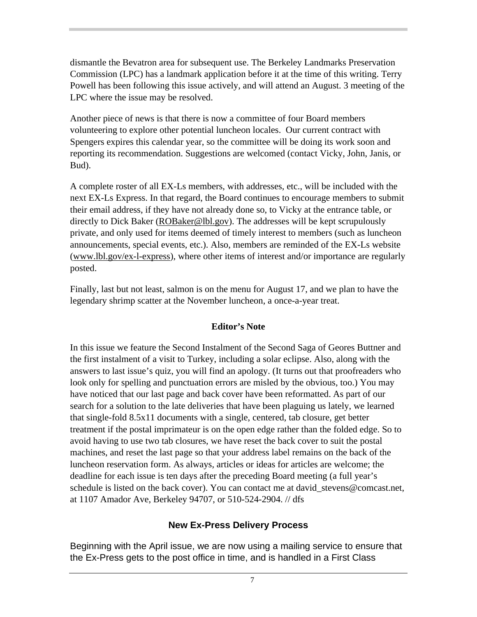dismantle the Bevatron area for subsequent use. The Berkeley Landmarks Preservation Commission (LPC) has a landmark application before it at the time of this writing. Terry Powell has been following this issue actively, and will attend an August. 3 meeting of the LPC where the issue may be resolved.

Another piece of news is that there is now a committee of four Board members volunteering to explore other potential luncheon locales. Our current contract with Spengers expires this calendar year, so the committee will be doing its work soon and reporting its recommendation. Suggestions are welcomed (contact Vicky, John, Janis, or Bud).

A complete roster of all EX-Ls members, with addresses, etc., will be included with the next EX-Ls Express. In that regard, the Board continues to encourage members to submit their email address, if they have not already done so, to Vicky at the entrance table, or directly to Dick Baker (ROBaker@lbl.gov). The addresses will be kept scrupulously private, and only used for items deemed of timely interest to members (such as luncheon announcements, special events, etc.). Also, members are reminded of the EX-Ls website (www.lbl.gov/ex-l-express), where other items of interest and/or importance are regularly posted.

Finally, last but not least, salmon is on the menu for August 17, and we plan to have the legendary shrimp scatter at the November luncheon, a once-a-year treat.

#### **Editor's Note**

In this issue we feature the Second Instalment of the Second Saga of Geores Buttner and the first instalment of a visit to Turkey, including a solar eclipse. Also, along with the answers to last issue's quiz, you will find an apology. (It turns out that proofreaders who look only for spelling and punctuation errors are misled by the obvious, too.) You may have noticed that our last page and back cover have been reformatted. As part of our search for a solution to the late deliveries that have been plaguing us lately, we learned that single-fold 8.5x11 documents with a single, centered, tab closure, get better treatment if the postal imprimateur is on the open edge rather than the folded edge. So to avoid having to use two tab closures, we have reset the back cover to suit the postal machines, and reset the last page so that your address label remains on the back of the luncheon reservation form. As always, articles or ideas for articles are welcome; the deadline for each issue is ten days after the preceding Board meeting (a full year's schedule is listed on the back cover). You can contact me at david\_stevens@comcast.net, at 1107 Amador Ave, Berkeley 94707, or 510-524-2904. // dfs

### **New Ex-Press Delivery Process**

Beginning with the April issue, we are now using a mailing service to ensure that the Ex-Press gets to the post office in time, and is handled in a First Class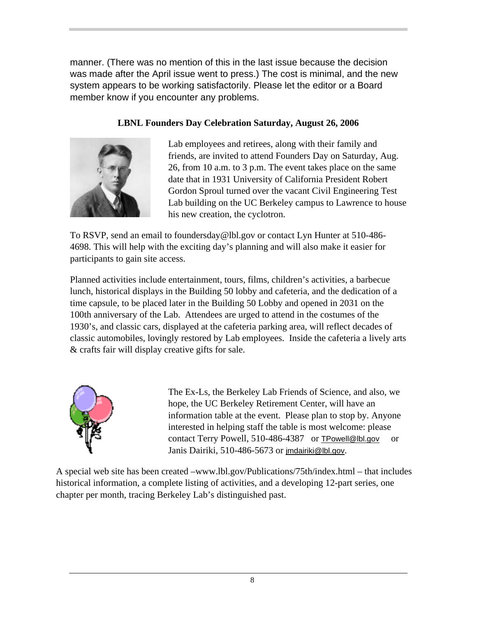manner. (There was no mention of this in the last issue because the decision was made after the April issue went to press.) The cost is minimal, and the new system appears to be working satisfactorily. Please let the editor or a Board member know if you encounter any problems.

### **LBNL Founders Day Celebration Saturday, August 26, 2006**



Lab employees and retirees, along with their family and friends, are invited to attend Founders Day on Saturday, Aug. 26, from 10 a.m. to 3 p.m. The event takes place on the same date that in 1931 University of California President Robert Gordon Sproul turned over the vacant Civil Engineering Test Lab building on the UC Berkeley campus to Lawrence to house his new creation, the cyclotron.

To RSVP, send an email to foundersday@lbl.gov or contact Lyn Hunter at 510-486- 4698. This will help with the exciting day's planning and will also make it easier for participants to gain site access.

Planned activities include entertainment, tours, films, children's activities, a barbecue lunch, historical displays in the Building 50 lobby and cafeteria, and the dedication of a time capsule, to be placed later in the Building 50 Lobby and opened in 2031 on the 100th anniversary of the Lab. Attendees are urged to attend in the costumes of the 1930's, and classic cars, displayed at the cafeteria parking area, will reflect decades of classic automobiles, lovingly restored by Lab employees. Inside the cafeteria a lively arts & crafts fair will display creative gifts for sale.



The Ex-Ls, the Berkeley Lab Friends of Science, and also, we hope, the UC Berkeley Retirement Center, will have an information table at the event. Please plan to stop by. Anyone interested in helping staff the table is most welcome: please contact Terry Powell, 510-486-4387 or TPowell@lbl.gov or Janis Dairiki, 510-486-5673 or jmdairiki@lbl.gov.

A special web site has been created –www.lbl.gov/Publications/75th/index.html – that includes historical information, a complete listing of activities, and a developing 12-part series, one chapter per month, tracing Berkeley Lab's distinguished past.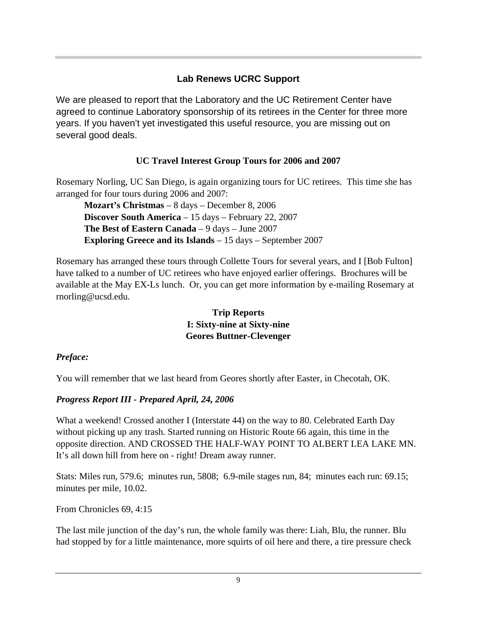## **Lab Renews UCRC Support**

We are pleased to report that the Laboratory and the UC Retirement Center have agreed to continue Laboratory sponsorship of its retirees in the Center for three more years. If you haven't yet investigated this useful resource, you are missing out on several good deals.

## **UC Travel Interest Group Tours for 2006 and 2007**

Rosemary Norling, UC San Diego, is again organizing tours for UC retirees. This time she has arranged for four tours during 2006 and 2007:

**Mozart's Christmas** – 8 days – December 8, 2006 **Discover South America** – 15 days – February 22, 2007 **The Best of Eastern Canada** – 9 days – June 2007 **Exploring Greece and its Islands** – 15 days – September 2007

Rosemary has arranged these tours through Collette Tours for several years, and I [Bob Fulton] have talked to a number of UC retirees who have enjoyed earlier offerings. Brochures will be available at the May EX-Ls lunch. Or, you can get more information by e-mailing Rosemary at rnorling@ucsd.edu.

> **Trip Reports I: Sixty-nine at Sixty-nine Geores Buttner-Clevenger**

### *Preface:*

You will remember that we last heard from Geores shortly after Easter, in Checotah, OK.

### *Progress Report III - Prepared April, 24, 2006*

What a weekend! Crossed another I (Interstate 44) on the way to 80. Celebrated Earth Day without picking up any trash. Started running on Historic Route 66 again, this time in the opposite direction. AND CROSSED THE HALF-WAY POINT TO ALBERT LEA LAKE MN. It's all down hill from here on - right! Dream away runner.

Stats: Miles run, 579.6; minutes run, 5808; 6.9-mile stages run, 84; minutes each run: 69.15; minutes per mile, 10.02.

From Chronicles 69, 4:15

The last mile junction of the day's run, the whole family was there: Liah, Blu, the runner. Blu had stopped by for a little maintenance, more squirts of oil here and there, a tire pressure check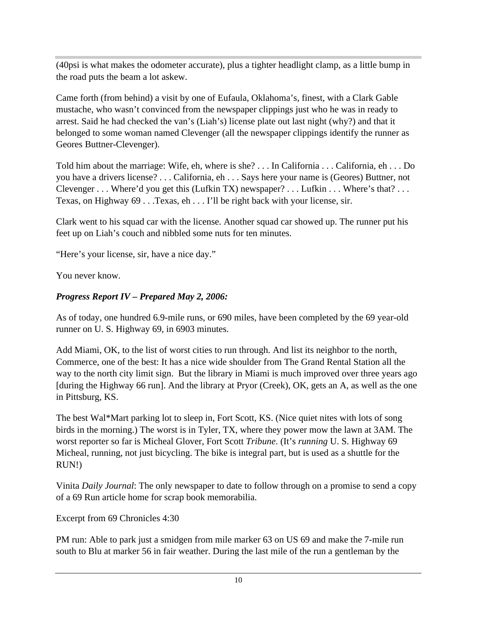(40psi is what makes the odometer accurate), plus a tighter headlight clamp, as a little bump in the road puts the beam a lot askew.

Came forth (from behind) a visit by one of Eufaula, Oklahoma's, finest, with a Clark Gable mustache, who wasn't convinced from the newspaper clippings just who he was in ready to arrest. Said he had checked the van's (Liah's) license plate out last night (why?) and that it belonged to some woman named Clevenger (all the newspaper clippings identify the runner as Geores Buttner-Clevenger).

Told him about the marriage: Wife, eh, where is she? . . . In California . . . California, eh . . . Do you have a drivers license? . . . California, eh . . . Says here your name is (Geores) Buttner, not Clevenger . . . Where'd you get this (Lufkin TX) newspaper? . . . Lufkin . . . Where's that? . . . Texas, on Highway 69 . . .Texas, eh . . . I'll be right back with your license, sir.

Clark went to his squad car with the license. Another squad car showed up. The runner put his feet up on Liah's couch and nibbled some nuts for ten minutes.

"Here's your license, sir, have a nice day."

You never know.

#### *Progress Report IV – Prepared May 2, 2006:*

As of today, one hundred 6.9-mile runs, or 690 miles, have been completed by the 69 year-old runner on U. S. Highway 69, in 6903 minutes.

Add Miami, OK, to the list of worst cities to run through. And list its neighbor to the north, Commerce, one of the best: It has a nice wide shoulder from The Grand Rental Station all the way to the north city limit sign. But the library in Miami is much improved over three years ago [during the Highway 66 run]. And the library at Pryor (Creek), OK, gets an A, as well as the one in Pittsburg, KS.

The best Wal\*Mart parking lot to sleep in, Fort Scott, KS. (Nice quiet nites with lots of song birds in the morning.) The worst is in Tyler, TX, where they power mow the lawn at 3AM. The worst reporter so far is Micheal Glover, Fort Scott *Tribune*. (It's *running* U. S. Highway 69 Micheal, running, not just bicycling. The bike is integral part, but is used as a shuttle for the RUN!)

Vinita *Daily Journal*: The only newspaper to date to follow through on a promise to send a copy of a 69 Run article home for scrap book memorabilia.

Excerpt from 69 Chronicles 4:30

PM run: Able to park just a smidgen from mile marker 63 on US 69 and make the 7-mile run south to Blu at marker 56 in fair weather. During the last mile of the run a gentleman by the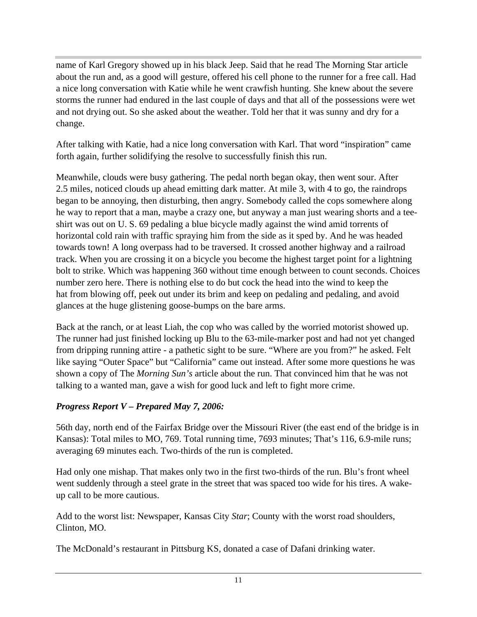name of Karl Gregory showed up in his black Jeep. Said that he read The Morning Star article about the run and, as a good will gesture, offered his cell phone to the runner for a free call. Had a nice long conversation with Katie while he went crawfish hunting. She knew about the severe storms the runner had endured in the last couple of days and that all of the possessions were wet and not drying out. So she asked about the weather. Told her that it was sunny and dry for a change.

After talking with Katie, had a nice long conversation with Karl. That word "inspiration" came forth again, further solidifying the resolve to successfully finish this run.

Meanwhile, clouds were busy gathering. The pedal north began okay, then went sour. After 2.5 miles, noticed clouds up ahead emitting dark matter. At mile 3, with 4 to go, the raindrops began to be annoying, then disturbing, then angry. Somebody called the cops somewhere along he way to report that a man, maybe a crazy one, but anyway a man just wearing shorts and a teeshirt was out on U. S. 69 pedaling a blue bicycle madly against the wind amid torrents of horizontal cold rain with traffic spraying him from the side as it sped by. And he was headed towards town! A long overpass had to be traversed. It crossed another highway and a railroad track. When you are crossing it on a bicycle you become the highest target point for a lightning bolt to strike. Which was happening 360 without time enough between to count seconds. Choices number zero here. There is nothing else to do but cock the head into the wind to keep the hat from blowing off, peek out under its brim and keep on pedaling and pedaling, and avoid glances at the huge glistening goose-bumps on the bare arms.

Back at the ranch, or at least Liah, the cop who was called by the worried motorist showed up. The runner had just finished locking up Blu to the 63-mile-marker post and had not yet changed from dripping running attire - a pathetic sight to be sure. "Where are you from?" he asked. Felt like saying "Outer Space" but "California" came out instead. After some more questions he was shown a copy of The *Morning Sun's* article about the run. That convinced him that he was not talking to a wanted man, gave a wish for good luck and left to fight more crime.

#### *Progress Report V – Prepared May 7, 2006:*

56th day, north end of the Fairfax Bridge over the Missouri River (the east end of the bridge is in Kansas): Total miles to MO, 769. Total running time, 7693 minutes; That's 116, 6.9-mile runs; averaging 69 minutes each. Two-thirds of the run is completed.

Had only one mishap. That makes only two in the first two-thirds of the run. Blu's front wheel went suddenly through a steel grate in the street that was spaced too wide for his tires. A wakeup call to be more cautious.

Add to the worst list: Newspaper, Kansas City *Star*; County with the worst road shoulders, Clinton, MO.

The McDonald's restaurant in Pittsburg KS, donated a case of Dafani drinking water.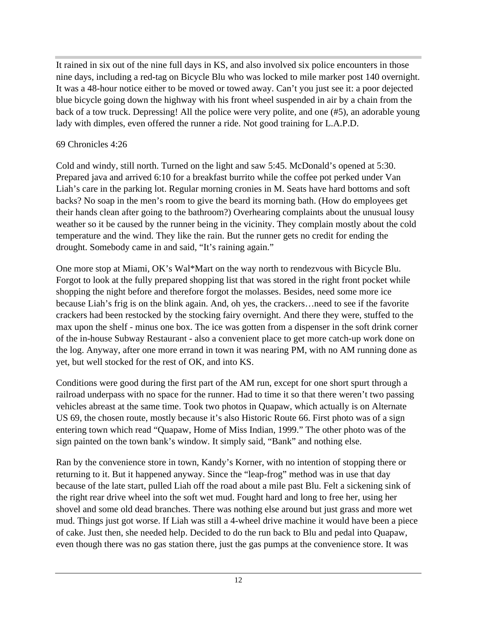It rained in six out of the nine full days in KS, and also involved six police encounters in those nine days, including a red-tag on Bicycle Blu who was locked to mile marker post 140 overnight. It was a 48-hour notice either to be moved or towed away. Can't you just see it: a poor dejected blue bicycle going down the highway with his front wheel suspended in air by a chain from the back of a tow truck. Depressing! All the police were very polite, and one (#5), an adorable young lady with dimples, even offered the runner a ride. Not good training for L.A.P.D.

#### 69 Chronicles 4:26

Cold and windy, still north. Turned on the light and saw 5:45. McDonald's opened at 5:30. Prepared java and arrived 6:10 for a breakfast burrito while the coffee pot perked under Van Liah's care in the parking lot. Regular morning cronies in M. Seats have hard bottoms and soft backs? No soap in the men's room to give the beard its morning bath. (How do employees get their hands clean after going to the bathroom?) Overhearing complaints about the unusual lousy weather so it be caused by the runner being in the vicinity. They complain mostly about the cold temperature and the wind. They like the rain. But the runner gets no credit for ending the drought. Somebody came in and said, "It's raining again."

One more stop at Miami, OK's Wal\*Mart on the way north to rendezvous with Bicycle Blu. Forgot to look at the fully prepared shopping list that was stored in the right front pocket while shopping the night before and therefore forgot the molasses. Besides, need some more ice because Liah's frig is on the blink again. And, oh yes, the crackers…need to see if the favorite crackers had been restocked by the stocking fairy overnight. And there they were, stuffed to the max upon the shelf - minus one box. The ice was gotten from a dispenser in the soft drink corner of the in-house Subway Restaurant - also a convenient place to get more catch-up work done on the log. Anyway, after one more errand in town it was nearing PM, with no AM running done as yet, but well stocked for the rest of OK, and into KS.

Conditions were good during the first part of the AM run, except for one short spurt through a railroad underpass with no space for the runner. Had to time it so that there weren't two passing vehicles abreast at the same time. Took two photos in Quapaw, which actually is on Alternate US 69, the chosen route, mostly because it's also Historic Route 66. First photo was of a sign entering town which read "Quapaw, Home of Miss Indian, 1999." The other photo was of the sign painted on the town bank's window. It simply said, "Bank" and nothing else.

Ran by the convenience store in town, Kandy's Korner, with no intention of stopping there or returning to it. But it happened anyway. Since the "leap-frog" method was in use that day because of the late start, pulled Liah off the road about a mile past Blu. Felt a sickening sink of the right rear drive wheel into the soft wet mud. Fought hard and long to free her, using her shovel and some old dead branches. There was nothing else around but just grass and more wet mud. Things just got worse. If Liah was still a 4-wheel drive machine it would have been a piece of cake. Just then, she needed help. Decided to do the run back to Blu and pedal into Quapaw, even though there was no gas station there, just the gas pumps at the convenience store. It was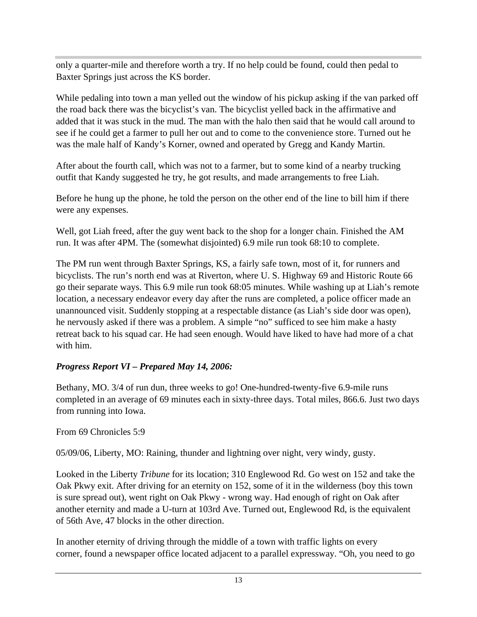only a quarter-mile and therefore worth a try. If no help could be found, could then pedal to Baxter Springs just across the KS border.

While pedaling into town a man yelled out the window of his pickup asking if the van parked off the road back there was the bicyclist's van. The bicyclist yelled back in the affirmative and added that it was stuck in the mud. The man with the halo then said that he would call around to see if he could get a farmer to pull her out and to come to the convenience store. Turned out he was the male half of Kandy's Korner, owned and operated by Gregg and Kandy Martin.

After about the fourth call, which was not to a farmer, but to some kind of a nearby trucking outfit that Kandy suggested he try, he got results, and made arrangements to free Liah.

Before he hung up the phone, he told the person on the other end of the line to bill him if there were any expenses.

Well, got Liah freed, after the guy went back to the shop for a longer chain. Finished the AM run. It was after 4PM. The (somewhat disjointed) 6.9 mile run took 68:10 to complete.

The PM run went through Baxter Springs, KS, a fairly safe town, most of it, for runners and bicyclists. The run's north end was at Riverton, where U. S. Highway 69 and Historic Route 66 go their separate ways. This 6.9 mile run took 68:05 minutes. While washing up at Liah's remote location, a necessary endeavor every day after the runs are completed, a police officer made an unannounced visit. Suddenly stopping at a respectable distance (as Liah's side door was open), he nervously asked if there was a problem. A simple "no" sufficed to see him make a hasty retreat back to his squad car. He had seen enough. Would have liked to have had more of a chat with him.

#### *Progress Report VI – Prepared May 14, 2006:*

Bethany, MO. 3/4 of run dun, three weeks to go! One-hundred-twenty-five 6.9-mile runs completed in an average of 69 minutes each in sixty-three days. Total miles, 866.6. Just two days from running into Iowa.

#### From 69 Chronicles 5:9

05/09/06, Liberty, MO: Raining, thunder and lightning over night, very windy, gusty.

Looked in the Liberty *Tribune* for its location; 310 Englewood Rd. Go west on 152 and take the Oak Pkwy exit. After driving for an eternity on 152, some of it in the wilderness (boy this town is sure spread out), went right on Oak Pkwy - wrong way. Had enough of right on Oak after another eternity and made a U-turn at 103rd Ave. Turned out, Englewood Rd, is the equivalent of 56th Ave, 47 blocks in the other direction.

In another eternity of driving through the middle of a town with traffic lights on every corner, found a newspaper office located adjacent to a parallel expressway. "Oh, you need to go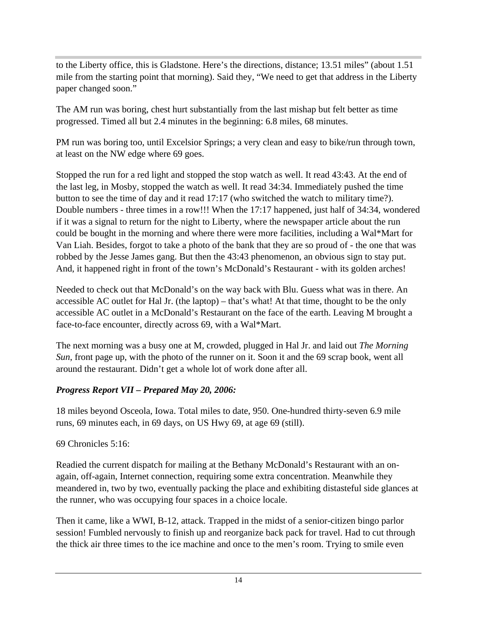to the Liberty office, this is Gladstone. Here's the directions, distance; 13.51 miles" (about 1.51 mile from the starting point that morning). Said they, "We need to get that address in the Liberty paper changed soon."

The AM run was boring, chest hurt substantially from the last mishap but felt better as time progressed. Timed all but 2.4 minutes in the beginning: 6.8 miles, 68 minutes.

PM run was boring too, until Excelsior Springs; a very clean and easy to bike/run through town, at least on the NW edge where 69 goes.

Stopped the run for a red light and stopped the stop watch as well. It read 43:43. At the end of the last leg, in Mosby, stopped the watch as well. It read 34:34. Immediately pushed the time button to see the time of day and it read 17:17 (who switched the watch to military time?). Double numbers - three times in a row!!! When the 17:17 happened, just half of 34:34, wondered if it was a signal to return for the night to Liberty, where the newspaper article about the run could be bought in the morning and where there were more facilities, including a Wal\*Mart for Van Liah. Besides, forgot to take a photo of the bank that they are so proud of - the one that was robbed by the Jesse James gang. But then the 43:43 phenomenon, an obvious sign to stay put. And, it happened right in front of the town's McDonald's Restaurant - with its golden arches!

Needed to check out that McDonald's on the way back with Blu. Guess what was in there. An accessible AC outlet for Hal Jr. (the laptop) – that's what! At that time, thought to be the only accessible AC outlet in a McDonald's Restaurant on the face of the earth. Leaving M brought a face-to-face encounter, directly across 69, with a Wal\*Mart.

The next morning was a busy one at M, crowded, plugged in Hal Jr. and laid out *The Morning Sun*, front page up, with the photo of the runner on it. Soon it and the 69 scrap book, went all around the restaurant. Didn't get a whole lot of work done after all.

#### *Progress Report VII – Prepared May 20, 2006:*

18 miles beyond Osceola, Iowa. Total miles to date, 950. One-hundred thirty-seven 6.9 mile runs, 69 minutes each, in 69 days, on US Hwy 69, at age 69 (still).

#### 69 Chronicles 5:16:

Readied the current dispatch for mailing at the Bethany McDonald's Restaurant with an onagain, off-again, Internet connection, requiring some extra concentration. Meanwhile they meandered in, two by two, eventually packing the place and exhibiting distasteful side glances at the runner, who was occupying four spaces in a choice locale.

Then it came, like a WWI, B-12, attack. Trapped in the midst of a senior-citizen bingo parlor session! Fumbled nervously to finish up and reorganize back pack for travel. Had to cut through the thick air three times to the ice machine and once to the men's room. Trying to smile even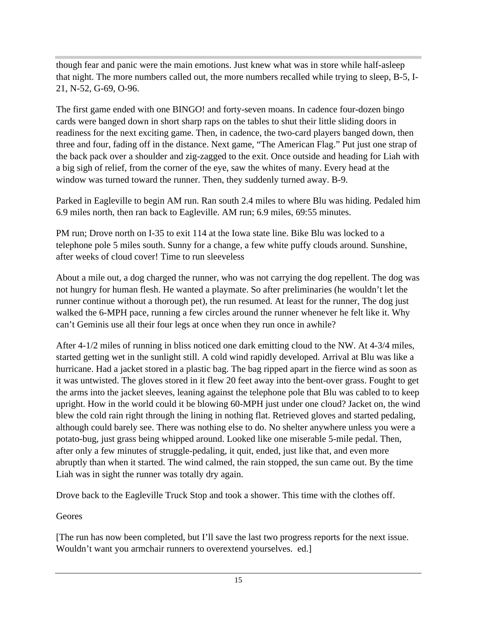though fear and panic were the main emotions. Just knew what was in store while half-asleep that night. The more numbers called out, the more numbers recalled while trying to sleep, B-5, I-21, N-52, G-69, O-96.

The first game ended with one BINGO! and forty-seven moans. In cadence four-dozen bingo cards were banged down in short sharp raps on the tables to shut their little sliding doors in readiness for the next exciting game. Then, in cadence, the two-card players banged down, then three and four, fading off in the distance. Next game, "The American Flag." Put just one strap of the back pack over a shoulder and zig-zagged to the exit. Once outside and heading for Liah with a big sigh of relief, from the corner of the eye, saw the whites of many. Every head at the window was turned toward the runner. Then, they suddenly turned away. B-9.

Parked in Eagleville to begin AM run. Ran south 2.4 miles to where Blu was hiding. Pedaled him 6.9 miles north, then ran back to Eagleville. AM run; 6.9 miles, 69:55 minutes.

PM run; Drove north on I-35 to exit 114 at the Iowa state line. Bike Blu was locked to a telephone pole 5 miles south. Sunny for a change, a few white puffy clouds around. Sunshine, after weeks of cloud cover! Time to run sleeveless

About a mile out, a dog charged the runner, who was not carrying the dog repellent. The dog was not hungry for human flesh. He wanted a playmate. So after preliminaries (he wouldn't let the runner continue without a thorough pet), the run resumed. At least for the runner, The dog just walked the 6-MPH pace, running a few circles around the runner whenever he felt like it. Why can't Geminis use all their four legs at once when they run once in awhile?

After 4-1/2 miles of running in bliss noticed one dark emitting cloud to the NW. At 4-3/4 miles, started getting wet in the sunlight still. A cold wind rapidly developed. Arrival at Blu was like a hurricane. Had a jacket stored in a plastic bag. The bag ripped apart in the fierce wind as soon as it was untwisted. The gloves stored in it flew 20 feet away into the bent-over grass. Fought to get the arms into the jacket sleeves, leaning against the telephone pole that Blu was cabled to to keep upright. How in the world could it be blowing 60-MPH just under one cloud? Jacket on, the wind blew the cold rain right through the lining in nothing flat. Retrieved gloves and started pedaling, although could barely see. There was nothing else to do. No shelter anywhere unless you were a potato-bug, just grass being whipped around. Looked like one miserable 5-mile pedal. Then, after only a few minutes of struggle-pedaling, it quit, ended, just like that, and even more abruptly than when it started. The wind calmed, the rain stopped, the sun came out. By the time Liah was in sight the runner was totally dry again.

Drove back to the Eagleville Truck Stop and took a shower. This time with the clothes off.

Geores

[The run has now been completed, but I'll save the last two progress reports for the next issue. Wouldn't want you armchair runners to overextend yourselves. ed.]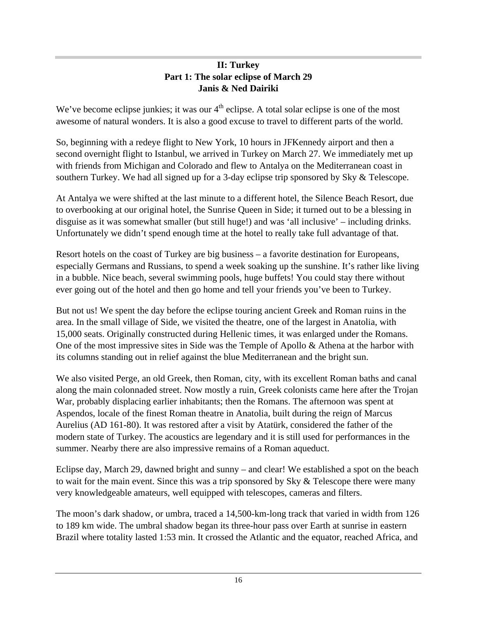#### **II: Turkey Part 1: The solar eclipse of March 29 Janis & Ned Dairiki**

We've become eclipse junkies; it was our  $4<sup>th</sup>$  eclipse. A total solar eclipse is one of the most awesome of natural wonders. It is also a good excuse to travel to different parts of the world.

So, beginning with a redeye flight to New York, 10 hours in JFKennedy airport and then a second overnight flight to Istanbul, we arrived in Turkey on March 27. We immediately met up with friends from Michigan and Colorado and flew to Antalya on the Mediterranean coast in southern Turkey. We had all signed up for a 3-day eclipse trip sponsored by Sky & Telescope.

At Antalya we were shifted at the last minute to a different hotel, the Silence Beach Resort, due to overbooking at our original hotel, the Sunrise Queen in Side; it turned out to be a blessing in disguise as it was somewhat smaller (but still huge!) and was 'all inclusive' – including drinks. Unfortunately we didn't spend enough time at the hotel to really take full advantage of that.

Resort hotels on the coast of Turkey are big business – a favorite destination for Europeans, especially Germans and Russians, to spend a week soaking up the sunshine. It's rather like living in a bubble. Nice beach, several swimming pools, huge buffets! You could stay there without ever going out of the hotel and then go home and tell your friends you've been to Turkey.

But not us! We spent the day before the eclipse touring ancient Greek and Roman ruins in the area. In the small village of Side, we visited the theatre, one of the largest in Anatolia, with 15,000 seats. Originally constructed during Hellenic times, it was enlarged under the Romans. One of the most impressive sites in Side was the Temple of Apollo & Athena at the harbor with its columns standing out in relief against the blue Mediterranean and the bright sun.

We also visited Perge, an old Greek, then Roman, city, with its excellent Roman baths and canal along the main colonnaded street. Now mostly a ruin, Greek colonists came here after the Trojan War, probably displacing earlier inhabitants; then the Romans. The afternoon was spent at Aspendos, locale of the finest Roman theatre in Anatolia, built during the reign of Marcus Aurelius (AD 161-80). It was restored after a visit by Atatürk, considered the father of the modern state of Turkey. The acoustics are legendary and it is still used for performances in the summer. Nearby there are also impressive remains of a Roman aqueduct.

Eclipse day, March 29, dawned bright and sunny – and clear! We established a spot on the beach to wait for the main event. Since this was a trip sponsored by Sky & Telescope there were many very knowledgeable amateurs, well equipped with telescopes, cameras and filters.

The moon's dark shadow, or umbra, traced a 14,500-km-long track that varied in width from 126 to 189 km wide. The umbral shadow began its three-hour pass over Earth at sunrise in eastern Brazil where totality lasted 1:53 min. It crossed the Atlantic and the equator, reached Africa, and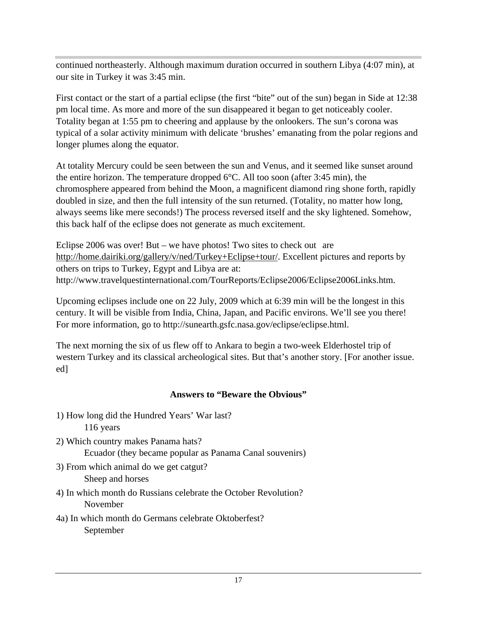continued northeasterly. Although maximum duration occurred in southern Libya (4:07 min), at our site in Turkey it was 3:45 min.

First contact or the start of a partial eclipse (the first "bite" out of the sun) began in Side at 12:38 pm local time. As more and more of the sun disappeared it began to get noticeably cooler. Totality began at 1:55 pm to cheering and applause by the onlookers. The sun's corona was typical of a solar activity minimum with delicate 'brushes' emanating from the polar regions and longer plumes along the equator.

At totality Mercury could be seen between the sun and Venus, and it seemed like sunset around the entire horizon. The temperature dropped 6°C. All too soon (after 3:45 min), the chromosphere appeared from behind the Moon, a magnificent diamond ring shone forth, rapidly doubled in size, and then the full intensity of the sun returned. (Totality, no matter how long, always seems like mere seconds!) The process reversed itself and the sky lightened. Somehow, this back half of the eclipse does not generate as much excitement.

Eclipse 2006 was over! But – we have photos! Two sites to check out are http://home.dairiki.org/gallery/v/ned/Turkey+Eclipse+tour/. Excellent pictures and reports by others on trips to Turkey, Egypt and Libya are at: http://www.travelquestinternational.com/TourReports/Eclipse2006/Eclipse2006Links.htm.

Upcoming eclipses include one on 22 July, 2009 which at 6:39 min will be the longest in this century. It will be visible from India, China, Japan, and Pacific environs. We'll see you there! For more information, go to http://sunearth.gsfc.nasa.gov/eclipse/eclipse.html.

The next morning the six of us flew off to Ankara to begin a two-week Elderhostel trip of western Turkey and its classical archeological sites. But that's another story. [For another issue. ed]

#### **Answers to "Beware the Obvious"**

- 1) How long did the Hundred Years' War last? 116 years
- 2) Which country makes Panama hats? Ecuador (they became popular as Panama Canal souvenirs)
- 3) From which animal do we get catgut? Sheep and horses
- 4) In which month do Russians celebrate the October Revolution? November
- 4a) In which month do Germans celebrate Oktoberfest? September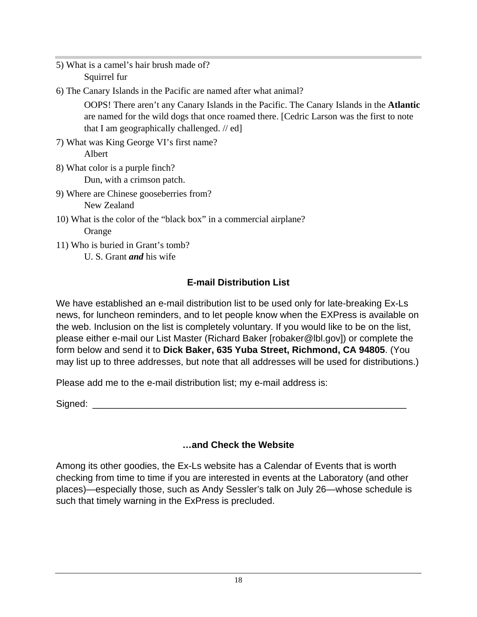- 5) What is a camel's hair brush made of? Squirrel fur
- 6) The Canary Islands in the Pacific are named after what animal?

OOPS! There aren't any Canary Islands in the Pacific. The Canary Islands in the **Atlantic** are named for the wild dogs that once roamed there. [Cedric Larson was the first to note that I am geographically challenged. // ed]

- 7) What was King George VI's first name? Albert
- 8) What color is a purple finch? Dun, with a crimson patch.
- 9) Where are Chinese gooseberries from? New Zealand
- 10) What is the color of the "black box" in a commercial airplane? Orange
- 11) Who is buried in Grant's tomb? U. S. Grant *and* his wife

## **E-mail Distribution List**

We have established an e-mail distribution list to be used only for late-breaking Ex-Ls news, for luncheon reminders, and to let people know when the EXPress is available on the web. Inclusion on the list is completely voluntary. If you would like to be on the list, please either e-mail our List Master (Richard Baker [robaker@lbl.gov]) or complete the form below and send it to **Dick Baker, 635 Yuba Street, Richmond, CA 94805**. (You may list up to three addresses, but note that all addresses will be used for distributions.)

Please add me to the e-mail distribution list; my e-mail address is:

Signed: \_\_\_\_\_\_\_\_\_\_\_\_\_\_\_\_\_\_\_\_\_\_\_\_\_\_\_\_\_\_\_\_\_\_\_\_\_\_\_\_\_\_\_\_\_\_\_\_\_\_\_\_\_\_\_\_\_\_\_\_

### **…and Check the Website**

Among its other goodies, the Ex-Ls website has a Calendar of Events that is worth checking from time to time if you are interested in events at the Laboratory (and other places)—especially those, such as Andy Sessler's talk on July 26—whose schedule is such that timely warning in the ExPress is precluded.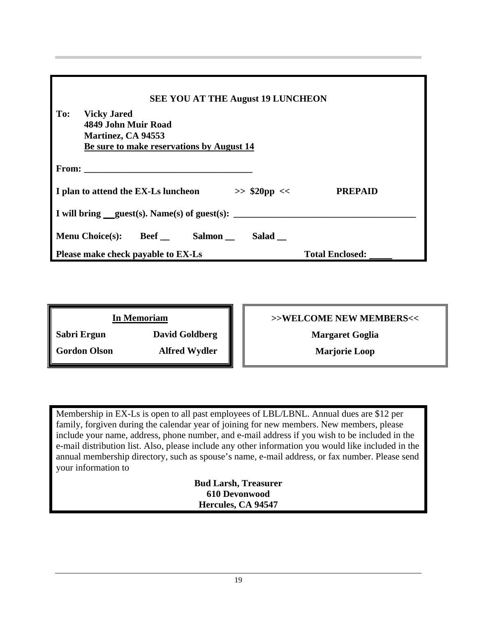| <b>SEE YOU AT THE August 19 LUNCHEON</b>                                                                            |                        |  |
|---------------------------------------------------------------------------------------------------------------------|------------------------|--|
| To:<br><b>Vicky Jared</b><br>4849 John Muir Road<br>Martinez, CA 94553<br>Be sure to make reservations by August 14 |                        |  |
|                                                                                                                     |                        |  |
| I plan to attend the EX-Ls luncheon<br>$>>$ \$20pp <<                                                               | <b>PREPAID</b>         |  |
| I will bring $quest(s)$ . Name(s) of guest(s):                                                                      |                        |  |
| <b>Menu Choice(s):</b> Beef<br>Salmon<br>Salad                                                                      |                        |  |
| Please make check payable to EX-Ls                                                                                  | <b>Total Enclosed:</b> |  |

| <b>In Memoriam</b>  |                       |
|---------------------|-----------------------|
| Sabri Ergun         | <b>David Goldberg</b> |
| <b>Gordon Olson</b> | <b>Alfred Wydler</b>  |

**>>WELCOME NEW MEMBERS<<**

**Margaret Goglia**

**Marjorie Loop**

Membership in EX-Ls is open to all past employees of LBL/LBNL. Annual dues are \$12 per family, forgiven during the calendar year of joining for new members. New members, please include your name, address, phone number, and e-mail address if you wish to be included in the e-mail distribution list. Also, please include any other information you would like included in the annual membership directory, such as spouse's name, e-mail address, or fax number. Please send your information to

> **Bud Larsh, Treasurer 610 Devonwood Hercules, CA 94547**